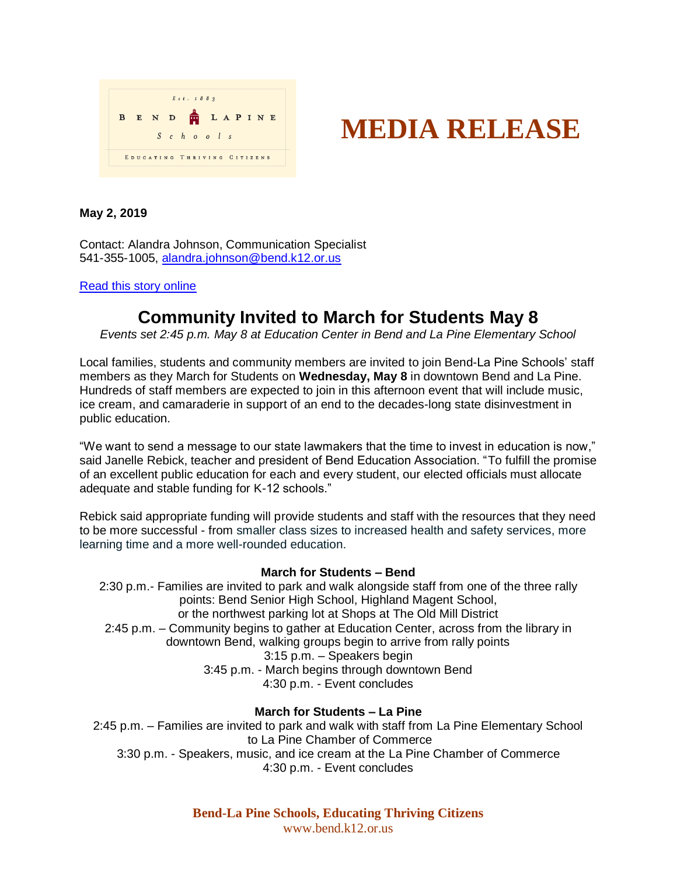

# **MEDIA RELEASE**

## **May 2, 2019**

Contact: Alandra Johnson, Communication Specialist 541-355-1005, [alandra.johnson@bend.k12.or.us](mailto:alandra.johnson@bend.k12.or.us)

### [Read this story online](http://bit.ly/BLSmay8)

# **Community Invited to March for Students May 8**

*Events set 2:45 p.m. May 8 at Education Center in Bend and La Pine Elementary School*

Local families, students and community members are invited to join Bend-La Pine Schools' staff members as they March for Students on **Wednesday, May 8** in downtown Bend and La Pine. Hundreds of staff members are expected to join in this afternoon event that will include music, ice cream, and camaraderie in support of an end to the decades-long state disinvestment in public education.

"We want to send a message to our state lawmakers that the time to invest in education is now," said Janelle Rebick, teacher and president of Bend Education Association. "To fulfill the promise of an excellent public education for each and every student, our elected officials must allocate adequate and stable funding for K-12 schools."

Rebick said appropriate funding will provide students and staff with the resources that they need to be more successful - from smaller class sizes to increased health and safety services, more learning time and a more well-rounded education.

#### **March for Students – Bend**

2:30 p.m.- Families are invited to park and walk alongside staff from one of the three rally points: Bend Senior High School, Highland Magent School, or the northwest parking lot at Shops at The Old Mill District 2:45 p.m. – Community begins to gather at Education Center, across from the library in downtown Bend, walking groups begin to arrive from rally points 3:15 p.m. – Speakers begin 3:45 p.m. - March begins through downtown Bend 4:30 p.m. - Event concludes

## **March for Students – La Pine**

2:45 p.m. – Families are invited to park and walk with staff from La Pine Elementary School to La Pine Chamber of Commerce 3:30 p.m. - Speakers, music, and ice cream at the La Pine Chamber of Commerce 4:30 p.m. - Event concludes

> **Bend-La Pine Schools, Educating Thriving Citizens** www.bend.k12.or.us